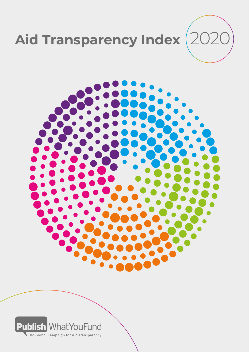



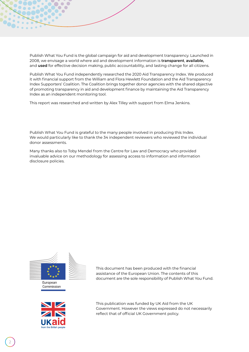Publish What You Fund is the global campaign for aid and development transparency. Launched in 2008, we envisage a world where aid and development information is **transparent**, **available,**  and **used** for effective decision making, public accountability, and lasting change for all citizens.

Publish What You Fund independently researched the 2020 Aid Transparency Index. We produced it with financial support from the William and Flora Hewlett Foundation and the Aid Transparency Index Supporters' Coalition. The Coalition brings together donor agencies with the shared objective of promoting transparency in aid and development finance by maintaining the Aid Transparency Index as an independent monitoring tool.

This report was researched and written by Alex Tilley with support from Elma Jenkins.

Publish What You Fund is grateful to the many people involved in producing this Index. We would particularly like to thank the 34 independent reviewers who reviewed the individual donor assessments.

Many thanks also to Toby Mendel from the Centre for Law and Democracy who provided invaluable advice on our methodology for assessing access to information and information disclosure policies.



This document has been produced with the financial assistance of the European Union. The contents of this document are the sole responsibility of Publish What You Fund.



This publication was funded by UK Aid from the UK Government. However the views expressed do not necessarily reflect that of official UK Government policy.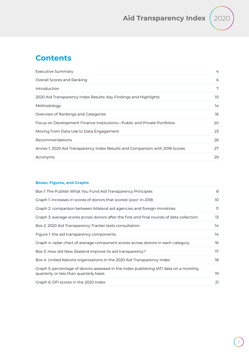

# **Contents**

| Executive Summary                                                            | 4  |
|------------------------------------------------------------------------------|----|
| Overall Scores and Ranking                                                   | 6  |
| Introduction                                                                 | 7  |
| 2020 Aid Transparency Index Results: Key Findings and Highlights             | 10 |
| Methodology                                                                  | 14 |
| Overview of Rankings and Categories                                          | 16 |
| Focus on Development Finance Institutions—Public and Private Portfolios      | 20 |
| Moving from Data Use to Data Engagement                                      | 23 |
| Recommendations                                                              | 26 |
| Annex 1: 2020 Aid Transparency Index Results and Comparison with 2018 Scores | 27 |
| Acronyms                                                                     | 29 |

## **Boxes, Figures, and Graphs**

| Box 1: The Publish What You Fund Aid Transparency Principles                                                                      | 8   |
|-----------------------------------------------------------------------------------------------------------------------------------|-----|
| Graph 1: increases in scores of donors that scored 'poor' in 2018                                                                 | 10  |
| Graph 2: comparison between bilateral aid agencies and foreign ministries                                                         | 11. |
| Graph 3: average scores across donors after the first and final rounds of data collection                                         | 13  |
| Box 2: 2020 Aid Transparency Tracker tests consultation                                                                           | 14  |
| Figure 1: the aid transparency components                                                                                         | 14  |
| Graph 4: radar chart of average component scores across donors in each category                                                   | 16  |
| Box 3: How did New Zealand improve its aid transparency?                                                                          | 17  |
| Box 4: United Nations organisations in the 2020 Aid Transparency Index                                                            | 18  |
| Graph 5: percentage of donors assessed in the Index publishing IATI data on a monthly,<br>quarterly, or less than quarterly basis | 19  |
| Graph 6: DFI scores in the 2020 Index                                                                                             | 21  |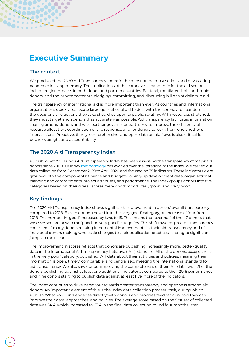# <span id="page-3-0"></span>**Executive Summary**

## **The context**

We produced the 2020 Aid Transparency Index in the midst of the most serious and devastating pandemic in living memory. The implications of the coronavirus pandemic for the aid sector include major impacts in both donor and partner countries. Bilateral, multilateral, philanthropic donors, and the private sector are pledging, committing, and disbursing billions of dollars in aid.

The transparency of international aid is more important than ever. As countries and international organisations quickly reallocate large quantities of aid to deal with the coronavirus pandemic, the decisions and actions they take should be open to public scrutiny. With resources stretched, they must target and spend aid as accurately as possible. Aid transparency facilitates information sharing among donors and with partner governments. It is key to improve the efficiency of resource allocation, coordination of the response, and for donors to learn from one another's interventions. Proactive, timely, comprehensive, and open data on aid flows is also critical for public oversight and accountability.

## **The 2020 Aid Transparency Index**

Publish What You Fund's Aid Transparency Index has been assessing the transparency of major aid donors since 2011. Our Index [methodology](http://www.publishwhatyoufund.org/the-index/methodology/) has evolved over the iterations of the Index. We carried out data collection from December 2019 to April 2020 and focused on 35 indicators. These indicators were grouped into five components: finance and budgets, joining-up development data, organisational planning and commitments, project attributes, and performance. The Index groups donors into five categories based on their overall scores: 'very good', 'good', 'fair', 'poor', and 'very poor'.

## **Key findings**

The 2020 Aid Transparency Index shows significant improvement in donors' overall transparency compared to 2018. Eleven donors moved into the 'very good' category, an increase of four from 2018. The number in 'good' increased by two, to 15. This means that over half of the 47 donors that we assessed are now in the 'good' or 'very good' categories. This shift towards greater transparency consisted of many donors making incremental improvements in their aid transparency and of individual donors making wholesale changes to their publication practices, leading to significant jumps in their scores.

The improvement in scores reflects that donors are publishing increasingly more, better-quality data in the International Aid Transparency Initiative (IATI) Standard. All of the donors, except those in the 'very poor' category, published IATI data about their activities and policies, meaning their information is open, timely, comparable, and centralised, meeting the international standard for aid transparency. We also saw donors improving the completeness of their IATI data, with 21 of the donors publishing against at least one additional indicator as compared to their 2018 performance, and nine donors starting to publish data against at least five more of the indicators.

The Index continues to drive behaviour towards greater transparency and openness among aid donors. An important element of this is the Index data collection process itself, during which Publish What You Fund engages directly with donors and provides feedback on how they can improve their data, approaches, and policies. The average score based on the first set of collected data was 54.4, which increased to 63.4 in the final data collection round four months later.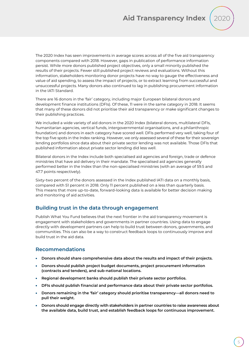

The 2020 Index has seen improvements in average scores across all of the five aid transparency components compared with 2018. However, gaps in publication of performance information persist. While more donors published project objectives, only a small minority published the results of their projects. Fewer still published project reviews and evaluations. Without this information, stakeholders monitoring donor projects have no way to gauge the effectiveness and value of aid spending, to assess the impact of projects, or to extract learning from successful and unsuccessful projects. Many donors also continued to lag in publishing procurement information in the IATI Standard.

There are 16 donors in the 'fair' category, including major European bilateral donors and development finance institutions (DFIs). Of these, 11 were in the same category in 2018. It seems that many of these donors did not prioritise their aid transparency or make significant changes to their publishing practices.

We included a wide variety of aid donors in the 2020 Index (bilateral donors, multilateral DFIs, humanitarian agencies, vertical funds, intergovernmental organisations, and a philanthropic foundation) and donors in each category have scored well. DFIs performed very well, taking four of the top five spots in the Index ranking. However, we only assessed several of these for their sovereign lending portfolios since data about their private sector lending was not available. Those DFIs that published information about private sector lending did less well.

Bilateral donors in the Index include both specialised aid agencies and foreign, trade or defence ministries that have aid delivery in their mandate. The specialised aid agencies generally performed better in the Index than the non-specialised ministries (with an average of 59.5 and 47.7 points respectively).

Sixty-two percent of the donors assessed in the Index published IATI data on a monthly basis, compared with 51 percent in 2018. Only 11 percent published on a less than quarterly basis. This means that more up-to-date, forward-looking data is available for better decision making and monitoring of aid activities.

## **Building trust in the data through engagement**

Publish What You Fund believes that the next frontier in the aid transparency movement is engagement with stakeholders and governments in partner countries. Using data to engage directly with development partners can help to build trust between donors, governments, and communities. This can also be a way to construct feedback loops to continuously improve and build trust in the aid data.

## **Recommendations**

- **Donors should share comprehensive data about the results and impact of their projects.**
- **Donors should publish project budget documents, project procurement information (contracts and tenders), and sub-national locations.**
- **Regional development banks should publish their private sector portfolios.**
- **DFIs should publish financial and performance data about their private sector portfolios.**
- **Donors remaining in the 'fair' category should prioritise transparency—all donors need to pull their weight.**
- **Donors should engage directly with stakeholders in partner countries to raise awareness about the available data, build trust, and establish feedback loops for continuous improvement.**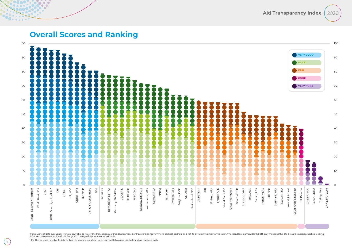

# **Overall Scores and Ranking**

 $\bullet$  $\bullet$ 

<span id="page-5-0"></span>0. . <u>. . .</u>

\*For reasons of data availability, we were only able to review the transparency of this development bank's sovereign (government-backed) portfolio and not its private investments. The Inter-American Development Bank (IDB) IDB Invest, a separate entity within the group, manages its private sector portfolio.

† For this development bank, data for both its sovereign and non-sovereign portfolios were available and we reviewed both.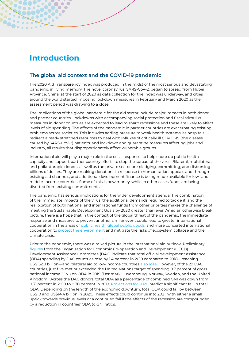# <span id="page-6-0"></span>**Introduction**

## **The global aid context and the COVID-19 pandemic**

The 2020 Aid Transparency Index was produced in the midst of the most serious and devastating pandemic in living memory. The novel coronavirus, SARS-CoV-2, began to spread from Hubei Province, China, at the start of 2020 as data collection for the Index was underway, and cities around the world started imposing lockdown measures in February and March 2020 as the assessment period was drawing to a close.

The implications of the global pandemic for the aid sector include major impacts in both donor and partner countries. Lockdowns with accompanying social protection and fiscal stimulus measures in donor countries are expected to lead to sharp recessions and these are likely to affect levels of aid spending. The effects of the pandemic in partner countries are exacerbating existing problems across societies. This includes adding pressure to weak health systems, as hospitals redirect already stretched resources to deal with influxes of critically ill COVID-19 (the disease caused by SARS-CoV-2) patients, and lockdown and quarantine measures affecting jobs and industry, all results that disproportionately affect vulnerable groups.

International aid will play a major role in the crisis response, to help shore up public health capacity and support partner country efforts to stop the spread of the virus. Bilateral, multilateral, and philanthropic donors, as well as the private sector are pledging, committing, and disbursing billions of dollars. They are making donations in response to humanitarian appeals and through existing aid channels, and additional development finance is being made available for low- and middle-income countries. Some of this is new money, while in other cases funds are being diverted from existing commitments.

The pandemic has serious implications for the wider development agenda. The combination of the immediate impacts of the virus, the additional demands required to tackle it, and the reallocation of both national and international funds from other priorities makes the challenge of meeting the Sustainable Development Goals by 2030 greater than ever. Amid an otherwise bleak picture, there is a hope that in the context of the global threat of the pandemic, the immediate response and measures to prevent another similar event could lead to greater international cooperation in the areas of [public health,](https://www.devex.com/news/opinion-it-s-time-to-prepare-for-the-next-covid-19-96888) globa[l public goods,](https://theconversation.com/coronavirus-is-a-failure-of-global-governance-now-the-world-needs-a-radical-transformation-136535) and more concerted international cooperation to [protect the environment](https://www.unenvironment.org/news-and-stories/story/covid-19-four-sustainable-development-goals-help-future-proof-global) and mitigate the risks of ecosystem collapse and the climate crisis.

Prior to the pandemic, there was a mixed picture in the international aid outlook. Preliminary [figures](https://www.oecd.org/dac/financing-sustainable-development/development-finance-data/ODA-2019-detailed-summary.pdf) from the Organisation for Economic Co-operation and Development (OECD) Development Assistance Committee (DAC) indicate that total official development assistance (ODA) spending by DAC countries rose by 1.4 percent in 2019 compared to 2018—reaching US\$152.8 billion—and bilateral aid to low-income countries [also rose.](https://devinit.org/publications/coronavirus-and-aid-data-what-latest-dac-data-tells-us/) However, of the 29 DAC countries, just five met or exceeded the United Nations target of spending 0.7 percent of gross national income (GNI) on ODA in 2019 (Denmark, Luxembourg, Norway, Sweden, and the United Kingdom). Across the DAC donors, total ODA as a percentage of combined GNI was down from 0.31 percent in 2018 to 0.30 percent in 2019. [Projections for 2020](https://devinit.org/publications/coronavirus-and-aid-data-what-latest-dac-data-tells-us/) predict a significant fall in total ODA. Depending on the length of the economic downturn, total ODA could fall by between US\$10 and US\$14.4 billion in 2020. These effects could continue into 2021, with either a small uptick towards previous levels or a continued fall if the effects of the recession are compounded by a reduction in countries' ODA to GNI ratios.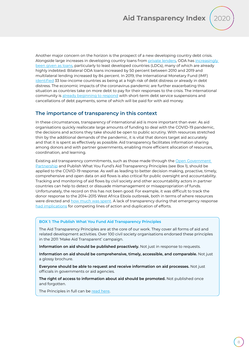<span id="page-7-0"></span>Another major concern on the horizon is the prospect of a new developing country debt crisis. Alongside large increases in developing country loans from [private lenders](https://www.internationalbudget.org/2020/05/crippling-debt-transparent-lending-and-borrowing-must-be-part-of-the-solution/?utm_source=E-mail+newsletter+list&utm_campaign=836c380c0a-EMAIL_CAMPAIGN_2016_12_05_COPY_01&utm_medium=email&utm_term=0_aac4cc52ea-836c380c0a-465996825), ODA has increasingly [been given as loans,](https://devinit.org/publications/coronavirus-and-aid-data-what-latest-dac-data-tells-us/) particularly to least developed countries (LDCs), many of which are already highly indebted. Bilateral ODA loans increased by 50 percent between 2010 and 2019 and multilateral lending increased by 84 percent. In 2019, the International Monetary Fund (IMF) [identified](https://www.imf.org/external/pubs/ft/dsa/dsalist.pdf) 33 low-income countries as being at a high risk of debt distress or already in debt distress. The economic impacts of the coronavirus pandemic are further exacerbating this situation as countries take on more debt to pay for their responses to the crisis. The international community is [already beginning to respond](https://oxfamblogs.org/fp2p/where-have-we-got-to-on-covid-and-debt-relief/) with short-term debt service suspensions and cancellations of debt payments, some of which will be paid for with aid money.

## **The importance of transparency in this context**

In these circumstances, transparency of international aid is more important than ever. As aid organisations quickly reallocate large amounts of funding to deal with the COVID-19 pandemic, the decisions and actions they take should be open to public scrutiny. With resources stretched thin by the additional demands of the pandemic, it is vital that donors target aid accurately and that it is spent as effectively as possible. Aid transparency facilitates information sharing among donors and with partner governments, enabling more efficient allocation of resources, coordination, and learning.

Existing aid transparency commitments, such as those made through the Open Government [Partnership](https://www.opengovpartnership.org/documents/a-guide-to-open-government-and-the-coronavirus-international-aid/) and Publish What You Fund's Aid Transparency Principles (see Box 1), should be applied to the COVID-19 response. As well as leading to better decision making, proactive, timely, comprehensive and open data on aid flows is also critical for public oversight and accountability. Tracking and monitoring of aid flows by civil society and other accountability actors in partner countries can help to detect or dissuade mismanagement or misappropriation of funds. Unfortunately, the record on this has not been good. For example, it was difficult to track the donor response to the 2014–2015 West Africa Ebola outbreak, both in terms of where resources were directed and [how much was spent.](https://www.cgdev.org/blog/accountability-covid-19-aid-better-visibility-matters-quality-response) A lack of transparency during that emergency response [had implications](http://documents.worldbank.org/curated/en/241811559646029471/pdf/Lessons-Learned-in-Financing-Rapid-Response-to-Recent-Epidemics-in-West-and-Central-Africa-A-Qualitative-Study.pdf) for competing lines of action and duplication of efforts.

#### **BOX 1: The Publish What You Fund Aid Transparency Principles**

The Aid Transparency Principles are at the core of our work. They cover all forms of aid and related development activities. Over 100 civil society organisations endorsed these principles in the 2011 'Make Aid Transparent' campaign.

**Information on aid should be published proactively.** Not just in response to requests.

**Information on aid should be comprehensive, timely, accessible, and comparable.** Not just a glossy brochure.

**Everyone should be able to request and receive information on aid processes.** Not just officials in governments or aid agencies.

**The right of access to information about aid should be promoted.** Not published once and forgotten.

The Principles in full can be [read here](http://www.publishwhatyoufund.org/why-it-matters/what-you-can-do/).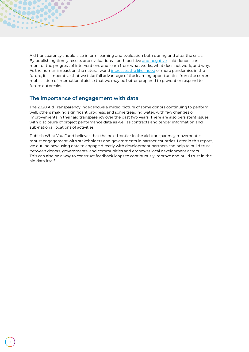Aid transparency should also inform learning and evaluation both during and after the crisis. By publishing timely results and evaluations—both positive [and negative—](https://www.admittingfailure.org/)aid donors can monitor the progress of interventions and learn from what works, what does not work, and why. As the human impact on the natural world [increases the likelihood](https://ipbes.net/covid19stimulus) of more pandemics in the future, it is imperative that we take full advantage of the learning opportunities from the current mobilisation of international aid so that we may be better prepared to prevent or respond to future outbreaks.

### **The importance of engagement with data**

 $\sqrt{2}$ 

The 2020 Aid Transparency Index shows a mixed picture of some donors continuing to perform well, others making significant progress, and some treading water, with few changes or improvements in their aid transparency over the past two years. There are also persistent issues with disclosure of project performance data as well as contracts and tender information and sub-national locations of activities.

Publish What You Fund believes that the next frontier in the aid transparency movement is robust engagement with stakeholders and governments in partner countries. Later in this report, we outline how using data to engage directly with development partners can help to build trust between donors, governments, and communities and empower local development actors. This can also be a way to construct feedback loops to continuously improve and build trust in the aid data itself.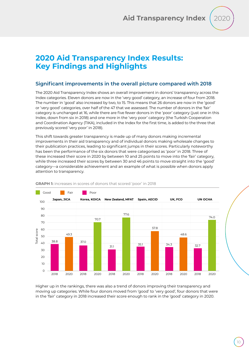# <span id="page-9-0"></span>**2020 Aid Transparency Index Results: Key Findings and Highlights**

## **Significant improvements in the overall picture compared with 2018**

The 2020 Aid Transparency Index shows an overall improvement in donors' transparency across the Index categories. Eleven donors are now in the 'very good' category, an increase of four from 2018. The number in 'good' also increased by two, to 15. This means that 26 donors are now in the 'good' or 'very good' categories, over half of the 47 that we assessed. The number of donors in the 'fair' category is unchanged at 16, while there are five fewer donors in the 'poor' category (just one in this Index, down from six in 2018) and one more in the 'very poor' category (the Turkish Cooperation and Coordination Agency (TIKA), included in the Index for the first time, is added to the three that previously scored 'very poor' in 2018).

This shift towards greater transparency is made up of many donors making incremental improvements in their aid transparency and of individual donors making wholesale changes to their publication practices, leading to significant jumps in their scores. Particularly noteworthy has been the performance of the six donors that were categorised as 'poor' in 2018. Three of these increased their score in 2020 by between 10 and 25 points to move into the 'fair' category, while three increased their scores by between 30 and 46 points to move straight into the 'good' category—a considerable achievement and an example of what is possible when donors apply attention to transparency.

![](_page_9_Figure_5.jpeg)

#### **GRAPH 1:** increases in scores of donors that scored 'poor' in 2018

Higher up in the rankings, there was also a trend of donors improving their transparency and moving up categories. While four donors moved from 'good' to 'very good', four donors that were in the 'fair' category in 2018 increased their score enough to rank in the 'good' category in 2020.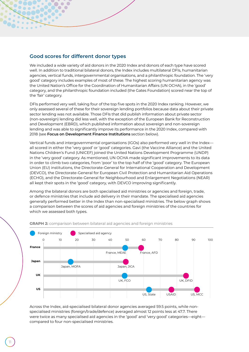![](_page_10_Figure_0.jpeg)

<span id="page-10-0"></span> $\subset$  $\bullet$  $\sqrt{2}$ 

We included a wide variety of aid donors in the 2020 Index and donors of each type have scored well. In addition to traditional bilateral donors, the Index includes multilateral DFIs, humanitarian agencies, vertical funds, intergovernmental organisations, and a philanthropic foundation. The 'very good' category includes examples of most of these. The highest scoring humanitarian agency was the United Nation's Office for the Coordination of Humanitarian Affairs (UN OCHA), in the 'good' category, and the philanthropic foundation included (the Gates Foundation) scored near the top of the 'fair' category.

DFIs performed very well, taking four of the top five spots in the 2020 Index ranking. However, we only assessed several of these for their sovereign lending portfolios because data about their private sector lending was not available. Those DFIs that did publish information about private sector (non-sovereign) lending did less well, with the exception of the European Bank for Reconstruction and Development (EBRD), which published information about sovereign and non-sovereign lending and was able to significantly improve its performance in the 2020 Index, compared with 2018 (see **Focus on Development Finance Institutions** section below).

Vertical funds and intergovernmental organisations (IGOs) also performed very well in the Index all scored in either the 'very good' or 'good' categories. Gavi (the Vaccine Alliance) and the United Nations Children's Fund (UNICEF) joined the United Nations Development Programme (UNDP) in the 'very good' category. As mentioned, UN OCHA made significant improvements to its data in order to climb two categories, from 'poor' to the top half of the 'good' category. The European Union (EU) institutions, the Directorate-General for International Cooperation and Development (DEVCO), the Directorate-General for European Civil Protection and Humanitarian Aid Operations (ECHO), and the Directorate-General for Neighbourhood and Enlargement Negotiations (NEAR) all kept their spots in the 'good' category, with DEVCO improving significantly.

Among the bilateral donors are both specialised aid ministries or agencies and foreign, trade, or defence ministries that include aid delivery in their mandate. The specialised aid agencies generally performed better in the Index than non-specialised ministries. The below graph shows a comparison between the scores of aid agencies and foreign ministries of the countries for which we assessed both types.

![](_page_10_Figure_5.jpeg)

**GRAPH 2:** comparison between bilateral aid agencies and foreign ministries

Across the Index, aid-specialised bilateral donor agencies averaged 59.5 points, while nonspecialised ministries (foreign/trade/defence) averaged almost 12 points less at 47.7. There were twice as many specialised aid agencies in the 'good' and 'very good' categories—eight compared to four non-specialised ministries.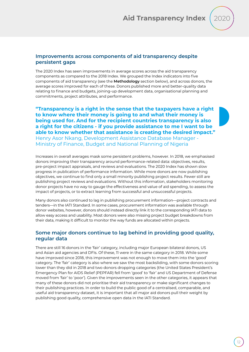![](_page_11_Picture_1.jpeg)

#### **Improvements across components of aid transparency despite persistent gaps**

The 2020 Index has seen improvements in average scores across the aid transparency components as compared to the 2018 Index. We grouped the Index indicators into five components of aid transparency (see the **Methodology** section below), and across donors, the average scores improved for each of these. Donors published more and better-quality data relating to finance and budgets, joining-up development data, organisational planning and commitments, project attributes, and performance.

**"Transparency is a right in the sense that the taxpayers have a right to know where their money is going to and what their money is being used for. And for the recipient countries transparency is also a right for the citizens - if you provide assistance to me I want to be able to know whether that assistance is creating the desired impact."** Henry Asor Nkang, Development Assistance Database Manager - Ministry of Finance, Budget and National Planning of Nigeria

Increases in overall averages mask some persistent problems, however. In 2018, we emphasised donors improving their transparency around performance-related data: objectives, results, pre-project impact appraisals, and reviews and evaluations. The 2020 Index has shown slow progress in publication of performance information. While more donors are now publishing objectives, we continue to find only a small minority publishing project results. Fewer still are publishing project reviews and evaluations. Without this information, stakeholders monitoring donor projects have no way to gauge the effectiveness and value of aid spending, to assess the impact of projects, or to extract learning from successful and unsuccessful projects.

Many donors also continued to lag in publishing procurement information—project contracts and tenders—in the IATI Standard. In some cases, procurement information was available through donor websites, however, donors should instead directly link it to the corresponding IATI data to allow easy access and usability. Most donors were also missing project budget breakdowns from their data, making it difficult to monitor the way funds are allocated within projects.

### **Some major donors continue to lag behind in providing good quality, regular data**

There are still 16 donors in the 'fair' category, including major European bilateral donors, US and Asian aid agencies and DFIs. Of these, 11 were in the same category in 2018. While some have improved since 2018, this improvement was not enough to move them into the 'good' category. The 'fair' category is also where we saw the most backsliding, with some donors scoring lower than they did in 2018 and two donors dropping categories (the United States President's Emergency Plan for AIDS Relief (PEPFAR) fell from 'good' to 'fair' and US Department of Defense moved from 'fair' to 'poor'). Given the improvements seen in the other categories, it appears that many of these donors did not prioritise their aid transparency or make significant changes to their publishing practices. In order to build the public good of a centralised, comparable, and useful aid transparency dataset, it is important that all major aid donors pull their weight by publishing good quality, comprehensive open data in the IATI Standard.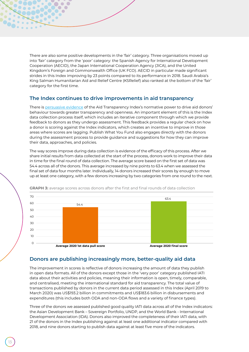There are also some positive developments in the 'fair' category. Three organisations moved up into 'fair' category from the 'poor' category: the Spanish Agency for International Development Cooperation (AECID), the Japan International Cooperation Agency (JICA), and the United Kingdom's Foreign and Commonwealth Office (UK FCO). AECID in particular made significant strides in this Index improving by 23 points compared to its performance in 2018. Saudi Arabia's King Salman Humanitarian Aid and Relief Centre (KSRelief) also ranked at the bottom of the 'fair' category for the first time.

#### **The Index continues to drive improvements in aid transparency**

<span id="page-12-0"></span> $\bigcap$  $\bigcap$ 

There is [persuasive evidence](https://www.publishwhatyoufund.org/2018/06/aid-transparency-index-work/) of the Aid Transparency Index's normative power to drive aid donors' behaviour towards greater transparency and openness. An important element of this is the Index data collection process itself, which includes an iterative component through which we provide feedback to donors as they undergo assessment. This feedback provides a regular check on how a donor is scoring against the Index indicators, which creates an incentive to improve in those areas where scores are lagging. Publish What You Fund also engages directly with the donors during the assessment process to provide guidance and suggestions for how they can improve their data, approaches, and policies.

The way scores improve during data collection is evidence of the efficacy of this process. After we share initial results from data collected at the start of the process, donors work to improve their data in time for the final round of data collection. The average score based on the first set of data was 54.4 across all of the donors. This average increased by nine points to 63.4 when we assessed the final set of data four months later. Individually, 14 donors increased their scores by enough to move up at least one category, with a few donors increasing by two categories from one round to the next.

![](_page_12_Figure_4.jpeg)

**GRAPH 3:** average scores across donors after the first and final rounds of data collection

#### **Donors are publishing increasingly more, better-quality aid data**

The improvement in scores is reflective of donors increasing the amount of data they publish in open data formats. All of the donors except those in the 'very poor' category published IATI data about their activities and policies, meaning their information is open, timely, comparable, and centralised, meeting the international standard for aid transparency. The total value of transactions published by donors in the current data period assessed in this Index (April 2019 to March 2020) was US\$193.2 billion in commitments and US\$183.6 billion in disbursements and expenditures (this includes both ODA and non-ODA flows and a variety of finance types).

Three of the donors we assessed published good quality IATI data across all of the Index indicators: the Asian Development Bank – Sovereign Portfolio, UNDP, and the World Bank - International Development Association (IDA). Donors also improved the completeness of their IATI data, with 21 of the donors in the Index publishing against at least one additional indicator compared with 2018, and nine donors starting to publish data against at least five more of the indicators.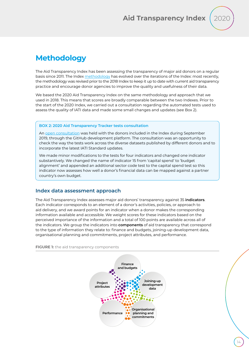![](_page_13_Picture_1.jpeg)

# <span id="page-13-0"></span>**Methodology**

The Aid Transparency Index has been assessing the transparency of major aid donors on a regular basis since 2011. The Index [methodology](http://www.publishwhatyoufund.org/the-index/methodology/) has evolved over the iterations of the Index: most recently, the methodology was revised prior to the 2018 Index to keep it up to date with current aid transparency practice and encourage donor agencies to improve the quality and usefulness of their data.

We based the 2020 Aid Transparency Index on the same methodology and approach that we used in 2018. This means that scores are broadly comparable between the two Indexes. Prior to the start of the 2020 Index, we carried out a consultation regarding the automated tests used to assess the quality of IATI data and made some small changes and updates (see Box 2).

#### **BOX 2: 2020 Aid Transparency Tracker tests consultation**

An [open consultation](https://github.com/pwyf/latest-index-indicator-definitions) was held with the donors included in the Index during September 2019, through the GitHub development platform. The consultation was an opportunity to check the way the tests work across the diverse datasets published by different donors and to incorporate the latest IATI Standard updates.

We made minor modifications to the tests for four indicators and changed one indicator substantively. We changed the name of indicator 15 from 'capital spend' to 'budget alignment' and appended an additional sector code test to the capital spend test so this indicator now assesses how well a donor's financial data can be mapped against a partner country's own budget.

#### **Index data assessment approach**

The Aid Transparency Index assesses major aid donors' transparency against 35 **indicators**. Each indicator corresponds to an element of a donor's activities, policies, or approach to aid delivery, and we award points for an indicator when a donor makes the corresponding information available and accessible. We weight scores for these indicators based on the perceived importance of the information and a total of 100 points are available across all of the indicators. We group the indicators into **components** of aid transparency that correspond to the type of information they relate to: finance and budgets, joining-up development data, organisational planning and commitments, project attributes, and performance.

**FIGURE 1:** the aid transparency components

![](_page_13_Figure_11.jpeg)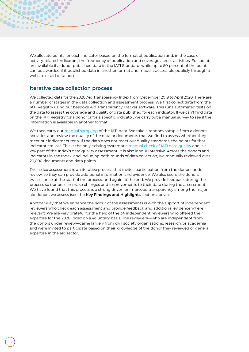We allocate points for each indicator based on the format of publication and, in the case of activity-related indicators, the frequency of publication and coverage across activities. Full points are available if a donor published data in the IATI Standard, while up to 50 percent of the points can be awarded if it published data in another format and made it accessible publicly through a website or aid data portal.

#### **Iterative data collection process**

We collected data for the 2020 Aid Transparency Index from December 2019 to April 2020. There are a number of stages in the data collection and assessment process. We first collect data from the IATI Registry using our bespoke Aid Transparency Tracker software. This runs automated tests on the data to assess the coverage and quality of data published for each indicator. If we can't find data on the IATI Registry for a donor or for a specific indicator, we carry out a manual survey to see if the information is available in another format.

We then carry out [manual sampling](https://www.publishwhatyoufund.org/2020/04/measuring-aid-transparency-why-does-rigour-have-to-be-so-rigorous/) of the IATI data. We take a random sample from a donor's activities and review the quality of the data or documents that we find to assess whether they meet our indicator criteria. If the data does not meet our quality standards, the points for that indicator are lost. This is the only existing systematic [manual check of IATI data quality](https://www.publishwhatyoufund.org/2020/02/searching-for-spaghetti-seeking-answers-on-aid-we-all-need-reliable-data/) and is a key part of the Index's data quality assessment. It is also labour intensive. Across the donors and indicators in the Index, and including both rounds of data collection, we manually reviewed over 20,000 documents and data points.

The Index assessment is an iterative process that invites participation from the donors under review, so they can provide additional information and evidence. We also score the donors twice—once at the start of the process, and again at the end. We provide feedback during the process so donors can make changes and improvements to their data during the assessment. We have found that this process is a strong driver for improved transparency among the major aid donors we assess (see the **Key Findings and Highlights** section above).

Another way that we enhance the rigour of the assessments is with the support of independent reviewers who check each assessment and provide feedback and additional evidence where relevant. We are very grateful for the help of the 34 independent reviewers who offered their expertise for the 2020 Index on a voluntary basis. The reviewers—who are independent from the donors under review—came largely from civil society organisations, research, or academia and were invited to participate based on their knowledge of the donor they reviewed or general expertise in the aid sector.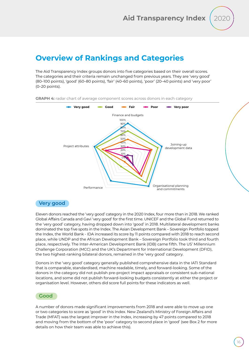# <span id="page-15-0"></span>**Overview of Rankings and Categories**

The Aid Transparency Index groups donors into five categories based on their overall scores. The categories and their criteria remain unchanged from previous years. They are 'very good' (80–100 points), 'good' (60–80 points), 'fair' (40–60 points), 'poor' (20–40 points) and 'very poor' (0–20 points).

![](_page_15_Figure_4.jpeg)

#### **GRAPH 4:** radar chart of average component scores across donors in each category

### **Very good**

Eleven donors reached the 'very good' category in the 2020 Index, four more than in 2018. We ranked Global Affairs Canada and Gavi 'very good' for the first time. UNICEF and the Global Fund returned to the 'very good' category, having dropped down into 'good' in 2018. Multilateral development banks dominated the top five spots in the Index. The Asian Development Bank – Sovereign Portfolio topped the Index, the World Bank - IDA increased its score by 11 points compared with 2018 to reach second place, while UNDP and the African Development Bank – Sovereign Portfolio took third and fourth place, respectively. The Inter-American Development Bank (IDB) came fifth. The US' Millennium Challenge Corporation (MCC) and the UK's Department for International Development (DFID), the two highest-ranking bilateral donors, remained in the 'very good' category.

Donors in the 'very good' category generally published comprehensive data in the IATI Standard that is comparable, standardised, machine readable, timely, and forward-looking. Some of the donors in the category did not publish pre-project impact appraisals or consistent sub-national locations, and some did not publish forward-looking budgets consistently at either the project or organisation level. However, others did score full points for these indicators as well.

#### **Good**

A number of donors made significant improvements from 2018 and were able to move up one or two categories to score as 'good' in this Index. New Zealand's Ministry of Foreign Affairs and Trade (MFAT) was the largest improver in the Index, increasing by 47 points compared to 2018 and moving from the bottom of the 'poor' category to second place in 'good' (see Box 2 for more details on how their team was able to achieve this).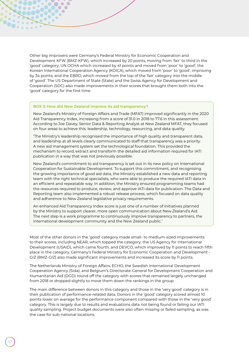Other big improvers were Germany's Federal Ministry for Economic Cooperation and Development KFW (BMZ-KFW), which increased by 20 points, moving from 'fair' to third in the 'good' category; UN OCHA which increased by 41 points and moved from 'poor' to 'good'; the Korean International Cooperation Agency (KOICA), which moved from 'poor' to 'good', improving by 34 points; and the EBRD, which moved from the top of the 'fair' category into the middle of 'good'. The US Department of State (State) and the Swiss Agency for Development and Cooperation (SDC) also made improvements in their scores that brought them both into the 'good' category for the first time.

#### **BOX 3: How did New Zealand improve its aid transparency?**

 $\bigcap$  $\bigcap$ 

<span id="page-16-0"></span>00. . . . . .

New Zealand's Ministry of Foreign Affairs and Trade (MFAT) improved significantly in the 2020 Aid Transparency Index, increasing from a score of 31.0 in 2018 to 77.6 in this assessment. According to Joe Davey, Senior Data & Reporting Analyst at New Zealand MFAT, they focused on four areas to achieve this: leadership, technology, resourcing, and data quality.

'The Ministry's leadership recognised the importance of high quality and transparent data, and leadership at all levels clearly communicated to staff that transparency was a priority. A new aid management system set the technological foundation. This provided the mechanism to record, extract and transform the detailed aid information required for IATI publication in a way that was not previously possible.

New Zealand's commitment to aid transparency is set out in its new policy on International Cooperation for Sustainable Development. To support this commitment, and recognising the growing importance of good aid data, the Ministry established a new data and reporting team with the right technical specialists, who were able to produce the required IATI data in an efficient and repeatable way. In addition, the Ministry ensured programming teams had the resources required to produce, review, and approve IATI data for publication. The Data and Reporting team also implemented a robust release process, which focused on data quality and adherence to New Zealand legislative privacy requirements.

An enhanced Aid Transparency Index score is just one of a number of initiatives planned by the Ministry to support clearer, more open communication about New Zealand's Aid. The next step is a work programme to continuously improve transparency to partners, the international development community and the New Zealand public.'

Most of the other donors in the 'good' category made small- to medium-sized improvements to their scores, including NEAR, which topped the category; the US Agency for International Development (USAID), which came fourth; and DEVCO, which improved by 11 points to reach fifth place in the category. Germany's Federal Ministry for Economic Cooperation and Development - GIZ (BMZ-GIZ) also made significant improvements and increased its score by 11 points.

The Netherlands Ministry of Foreign Affairs, ECHO, the Swedish International Development Cooperation Agency (Sida), and Belgium's Directorate-General for Development Cooperation and Humanitarian Aid (DGD) round off the category with scores that remained largely unchanged from 2018 or dropped slightly to move them down the rankings in the group.

The main difference between donors in this category and those in the 'very good' category is in their publication of performance-related data. Donors in the 'good' category scored almost 10 points lower on average for the performance component compared with those in the 'very good' category. This is largely due to results and evaluations data not being found or failing our IATI quality sampling. Project budget documents were also often missing or failed sampling, as was the case for sub-national locations.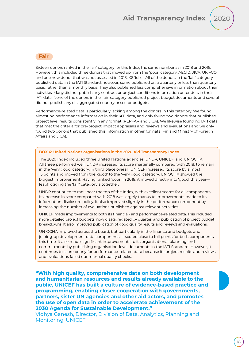![](_page_17_Picture_1.jpeg)

#### <span id="page-17-0"></span>**Fair**

Sixteen donors ranked in the 'fair' category for this Index, the same number as in 2018 and 2016. However, this included three donors that moved up from the 'poor' category: AECID, JICA, UK FCO, and one new donor that was not assessed in 2018, KSRelief. All of the donors in the 'fair' category published data in the IATI Standard, however, some published on a quarterly or less than quarterly basis, rather than a monthly basis. They also published less comprehensive information about their activities. Many did not publish any contract or project conditions information or tenders in their IATI data. None of the donors in the 'fair' category published project budget documents and several did not publish any disaggregated country or sector budgets.

Performance-related data is particularly lacking among the donors in this category. We found almost no performance information in their IATI data, and only found two donors that published project level results consistently in any format (PEPFAR and JICA). We likewise found no IATI data that met the criteria for pre-project impact appraisals and reviews and evaluations and we only found two donors that published this information in other formats (Finland Ministry of Foreign Affairs and JICA).

#### **BOX 4: United Nations organisations in the 2020 Aid Transparency Index**

The 2020 Index included three United Nations agencies: UNDP, UNICEF, and UN OCHA. All three performed well. UNDP increased its score marginally compared with 2018, to remain in the 'very good' category, in third place overall. UNICEF increased its score by almost 15 points and moved from the 'good' to the 'very good' category. UN OCHA showed the biggest improvement. Having ranked 'poor' in 2018, it moved directly into 'good' this year leapfrogging the 'fair' category altogether.

UNDP continued to rank near the top of the Index, with excellent scores for all components. Its increase in score compared with 2018 was largely thanks to improvements made to its information disclosure policy. It also improved slightly in the performance component by increasing the number of evaluations published against relevant activities.

UNICEF made improvements to both its financial- and performance-related data. This included more detailed project budgets, now disaggregated by quarter, and publication of project budget breakdowns. It also improved publication of good quality results and reviews and evaluations.

UN OCHA improved across the board, but particularly in the finance and budgets and joining-up development data components. It scored close to full points for both components this time. It also made significant improvements to its organisational planning and commitments by publishing organisation-level documents in the IATI Standard. However, it continues to score poorly for performance-related data because its project results and reviews and evaluations failed our manual quality checks.

**"With high quality, comprehensive data on both development and humanitarian resources and results already available to the public, UNICEF has built a culture of evidence-based practice and programming, enabling closer cooperation with governments, partners, sister UN agencies and other aid actors, and promotes the use of open data in order to accelerate achievement of the 2030 Agenda for Sustainable Development."**

Vidhya Ganesh, Director, Division of Data, Analytics, Planning and Monitoring, UNICEF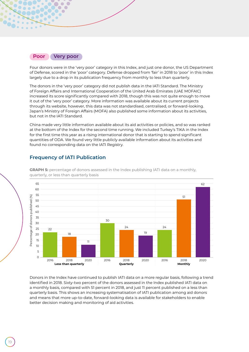![](_page_18_Figure_0.jpeg)

<span id="page-18-0"></span> $\overline{\phantom{a}}$ 

 $\sqrt{2}$  $\bullet$  $\sqrt{2}$ 

Four donors were in the 'very poor' category in this Index, and just one donor, the US Department of Defense, scored in the 'poor' category. Defense dropped from 'fair' in 2018 to 'poor' in this Index largely due to a drop in its publication frequency from monthly to less than quarterly.

The donors in the 'very poor' category did not publish data in the IATI Standard. The Ministry of Foreign Affairs and International Cooperation of the United Arab Emirates (UAE MOFAIC) increased its score significantly compared with 2018, though this was not quite enough to move it out of the 'very poor' category. More information was available about its current projects through its website, however, this data was not standardised, centralised, or forward-looking. Japan's Ministry of Foreign Affairs (MOFA) also published some information about its activities, but not in the IATI Standard.

China made very little information available about its aid activities or policies, and so was ranked at the bottom of the Index for the second time running. We included Turkey's TIKA in the Index for the first time this year as a rising international donor that is starting to spend significant quantities of ODA. We found very little publicly available information about its activities and found no corresponding data on the IATI Registry.

## **Frequency of IATI Publication**

![](_page_18_Figure_5.jpeg)

**GRAPH 5:** percentage of donors assessed in the Index publishing IATI data on a monthly, quarterly, or less than quarterly basis

Donors in the Index have continued to publish IATI data on a more regular basis, following a trend identified in 2018. Sixty-two percent of the donors assessed in the Index published IATI data on a monthly basis, compared with 51 percent in 2018, and just 11 percent published on a less than quarterly basis. This shows an increasing systematisation of IATI publication among aid donors and means that more up-to-date, forward-looking data is available for stakeholders to enable better decision making and monitoring of aid activities.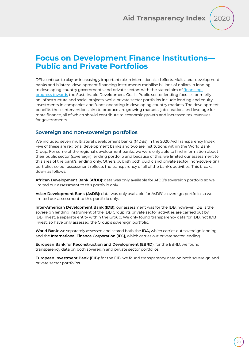# <span id="page-19-0"></span>**Focus on Development Finance Institutions— Public and Private Portfolios**

DFIs continue to play an increasingly important role in international aid efforts. Multilateral development banks and bilateral development financing instruments mobilise billions of dollars in lending to developing country governments and private sectors with the stated aim of [financing](http://pubdocs.worldbank.org/en/69291436554303071/dfi-idea-action-booklet.pdf)  [progress towards](http://pubdocs.worldbank.org/en/69291436554303071/dfi-idea-action-booklet.pdf) the Sustainable Development Goals. Public sector lending focuses primarily on infrastructure and social projects, while private sector portfolios include lending and equity investments in companies and funds operating in developing country markets. The development benefits these interventions aim to produce are growing markets, job creation, and leverage for more finance, all of which should contribute to economic growth and increased tax revenues for governments.

#### **Sovereign and non-sovereign portfolios**

We included seven multilateral development banks (MDBs) in the 2020 Aid Transparency Index. Five of these are regional development banks and two are institutions within the World Bank Group. For some of the regional development banks, we were only able to find information about their public sector (sovereign) lending portfolio and because of this, we limited our assessment to this area of the bank's lending only. Others publish both public and private sector (non-sovereign) portfolios so our assessment reflects the transparency of all of the bank's activities. This breaks down as follows:

**African Development Bank (AfDB)**: data was only available for AfDB's sovereign portfolio so we limited our assessment to this portfolio only.

**Asian Development Bank (AsDB):** data was only available for AsDB's sovereign portfolio so we limited our assessment to this portfolio only.

**Inter-American Development Bank (IDB):** our assessment was for the IDB, however, IDB is the sovereign lending instrument of the IDB Group; its private sector activities are carried out by IDB Invest, a separate entity within the Group. We only found transparency data for IDB, not IDB Invest, so have only assessed the Group's sovereign portfolio.

**World Bank**: we separately assessed and scored both the **IDA,** which carries out sovereign lending, and the **International Finance Corporation (IFC),** which carries out private sector lending.

**European Bank for Reconstruction and Development (EBRD)**: for the EBRD, we found transparency data on both sovereign and private sector portfolios.

**European Investment Bank (EIB)**: for the EIB, we found transparency data on both sovereign and private sector portfolios.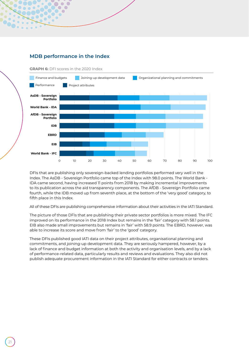![](_page_20_Figure_0.jpeg)

![](_page_20_Figure_1.jpeg)

**GRAPH 6:** DFI scores in the 2020 Index

<span id="page-20-0"></span> $\subset$  $\bigcap$  $\bigcap$ 

DFIs that are publishing only sovereign-backed lending portfolios performed very well in the Index. The AsDB - Sovereign Portfolio came top of the Index with 98.0 points. The World Bank - IDA came second, having increased 11 points from 2018 by making incremental improvements to its publication across the aid transparency components. The AfDB - Sovereign Portfolio came fourth, while the IDB moved up from seventh place, at the bottom of the 'very good' category, to fifth place in this Index.

All of these DFIs are publishing comprehensive information about their activities in the IATI Standard.

The picture of those DFIs that are publishing their private sector portfolios is more mixed. The IFC improved on its performance in the 2018 Index but remains in the 'fair' category with 58.1 points. EIB also made small improvements but remains in 'fair' with 58.9 points. The EBRD, however, was able to increase its score and move from 'fair' to the 'good' category.

These DFIs published good IATI data on their project attributes, organisational planning and commitments, and joining-up development data. They are seriously hampered, however, by a lack of finance and budget information at both the activity and organisation levels, and by a lack of performance-related data, particularly results and reviews and evaluations. They also did not publish adequate procurement information in the IATI Standard for either contracts or tenders.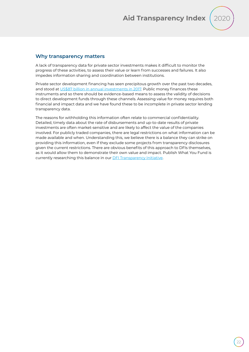![](_page_21_Picture_1.jpeg)

#### **Why transparency matters**

A lack of transparency data for private sector investments makes it difficult to monitor the progress of these activities, to assess their value or learn from successes and failures. It also impedes information sharing and coordination between institutions.

Private sector development financing has seen precipitous growth over the past two decades, and stood at [US\\$87 billion in annual investments in 2017.](https://www.csis.org/analysis/development-finance-institutions-plateaued-growth-increasing-need) Public money finances these instruments and so there should be evidence-based means to assess the validity of decisions to direct development funds through these channels. Assessing value for money requires both financial and impact data and we have found these to be incomplete in private sector lending transparency data.

The reasons for withholding this information often relate to commercial confidentiality. Detailed, timely data about the rate of disbursements and up-to-date results of private investments are often market-sensitive and are likely to affect the value of the companies involved. For publicly traded companies, there are legal restrictions on what information can be made available and when. Understanding this, we believe there is a balance they can strike on providing this information, even if they exclude some projects from transparency disclosures given the current restrictions. There are obvious benefits of this approach to DFIs themselves, as it would allow them to demonstrate their own value and impact. Publish What You Fund is currently researching this balance in our **DFI Transparency Initiative**.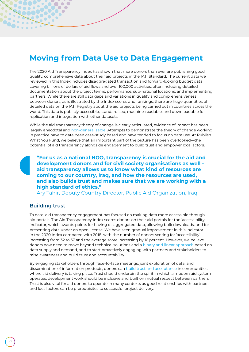# <span id="page-22-0"></span>**Moving from Data Use to Data Engagement**

The 2020 Aid Transparency Index has shown that more donors than ever are publishing good quality, comprehensive data about their aid projects in the IATI Standard. The current data we reviewed in this Index includes disaggregated transaction and forward-looking budget data covering billions of dollars of aid flows and over 100,000 activities, often including detailed documentation about the project terms, performance, sub-national locations, and implementing partners. While there are still data gaps and variations in quality and comprehensiveness between donors, as is illustrated by the Index scores and rankings, there are huge quantities of detailed data on the IATI Registry about the aid projects being carried out in countries across the world. This data is publicly accessible, standardised, machine-readable, and downloadable for replication and integration with other datasets.

While the aid transparency theory of change is clearly articulated, evidence of impact has been largely anecdotal and [non-generalisable](https://stateofopendata.od4d.net/chapters/sectors/development-humanitarian.html). Attempts to demonstrate the theory of change working in practice have to date been case-study based and have tended to focus on data use. At Publish What You Fund, we believe that an important part of the picture has been overlooked—the potential of aid transparency alongside engagement to build trust and empower local actors.

**"For us as a national NGO, transparency is crucial for the aid and development donors and for civil society organisations as well aid transparency allows us to know what kind of resources are coming to our country, Iraq, and how the resources are used, and also builds trust and makes sure that we are working with a high standard of ethics."**

Ary Tahir, Deputy Country Director, Public Aid Organization, Iraq

### **Building trust**

 $\sqrt{2}$ 

To date, aid transparency engagement has focused on making data more accessible through aid portals. The Aid Transparency Index scores donors on their aid portals for the 'accessibility' indicator, which awards points for having disaggregated data, allowing bulk downloads, and for presenting data under an open license. We have seen gradual improvement in this indicator in the 2020 Index compared with 2018, with the number of donors scoring for 'accessibility' increasing from 32 to 37 and the average score increasing by 16 percent. However, we believe donors now need to move beyond technical solutions and a [binary and linear approach](http://www.publishwhatyoufund.org/wp-content/uploads/2017/09/With-Publication-Brings-Responsibility-A-discussion-paper.pdf) based on data supply and demand, and to start proactively engaging with partners and stakeholders to raise awareness and build trust and accountability.

By engaging stakeholders through face-to-face meetings, joint exploration of data, and dissemination of information products, donors can [build trust and acceptance](https://www.publishwhatyoufund.org/2020/01/what-use-is-aid-and-development-data-two-examples-from-nigeria/) in communities where aid delivery is taking place. Trust should underpin the spirit in which a modern aid system operates: development work should be inclusive and built on mutual respect between partners. Trust is also vital for aid donors to operate in many contexts as good relationships with partners and local actors can be prerequisites to successful project delivery.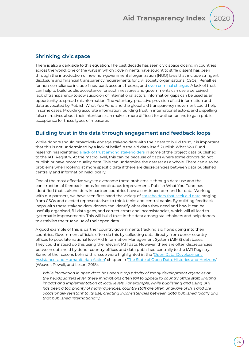## **Shrinking civic space**

There is also a dark side to this equation. The past decade has seen civic space closing in countries across the world. One of the ways in which governments have sought to stifle dissent has been through the introduction of new non-governmental organization (NGO) laws that include stringent disclosure and financial transparency requirements for civil society organisations (CSOs). Penalties for non-compliance include fines, bank account freezes, and [even criminal charges](https://www.amnesty.org/download/Documents/ACT3096472019ENGLISH.PDF). A lack of trust can help to build public acceptance for such measures and governments can use a perceived lack of transparency to sow suspicion of international actors. Information gaps can be used as an opportunity to spread misinformation. The voluntary, proactive provision of aid information and data advocated by Publish What You Fund and the global aid transparency movement could help in some cases. Providing accurate information, building trust in international actors, and dispelling false narratives about their intentions can make it more difficult for authoritarians to gain public acceptance for these types of measures.

## **Building trust in the data through engagement and feedback loops**

While donors should proactively engage stakeholders with their data to build trust, it is important that this is not undermined by a lack of belief in the aid data itself. Publish What You Fund research has identified [a lack of trust among stakeholders](http://www.publishwhatyoufund.org/wp-content/uploads/2017/09/With-Publication-Brings-Responsibility-A-discussion-paper.pdf) in some of the project data published to the IATI Registry. At the macro level, this can be because of gaps where some donors do not publish or have poorer quality data. This can undermine the dataset as a whole. There can also be problems when looking at more specific data if there are discrepancies between data published centrally and information held locally.

One of the most effective ways to overcome these problems is through data use and the construction of feedback loops for continuous improvement. Publish What You Fund has identified that stakeholders in partner countries have a continued demand for data. Working with our partners, we have seen first-hand the variety of [stakeholders that seek aid data](https://www.publishwhatyoufund.org/2020/06/the-growing-demand-for-aid-data-sharing-experience-from-nigeria/) ranging from CSOs and elected representatives to think tanks and central banks. By building feedback loops with these stakeholders, donors can identify what data they need and how it can be usefully organised, fill data gaps, and correct errors and inconsistencies, which will all lead to systematic improvements. This will build trust in the data among stakeholders and help donors to establish the true value of their open data.

A good example of this is partner country governments tracking aid flows going into their countries. Government officials often do this by collecting data directly from donor country offices to populate national level Aid Information Management System (AIMS) databases. They could instead do this using the relevant IATI data. However, there are often discrepancies between data held by donor country offices and data published centrally to the IATI Registry. Some of the reasons behind this issue were highlighted in the '[Open Data, Development](https://www.stateofopendata.od4d.net/chapters/sectors/development-humanitarian.html)  [Assistance, and Humanitarian Action](https://www.stateofopendata.od4d.net/chapters/sectors/development-humanitarian.html)' chapter in '[The State of Open Data: Histories and Horizons](https://www.stateofopendata.od4d.net/)' (Weaver, Powell, and Leson, 2018):

*While innovation in open data has been a top priority of many development agencies at the headquarters level, these innovations often fail to appeal to country office staff, limiting impact and implementation at local levels. For example, while publishing and using IATI has been a top priority of many agencies, country staff are often unaware of IATI and are occasionally resistant to its use, creating inconsistencies between data published locally and that published internationally.*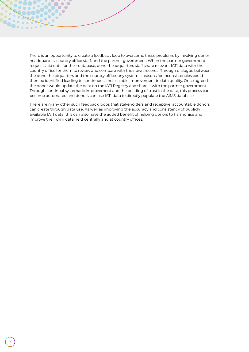There is an opportunity to create a feedback loop to overcome these problems by involving donor headquarters, country office staff, and the partner government. When the partner government requests aid data for their database, donor headquarters staff share relevant IATI data with their country office for them to review and compare with their own records. Through dialogue between the donor headquarters and the country office, any systemic reasons for inconsistencies could then be identified leading to continuous and scalable improvement in data quality. Once agreed, the donor would update the data on the IATI Registry and share it with the partner government. Through continual systematic improvement and the building of trust in the data, this process can become automated and donors can use IATI data to directly populate the AIMS database.

 $\sqrt{2}$  $\bigcap$ 

There are many other such feedback loops that stakeholders and receptive, accountable donors can create through data use. As well as improving the accuracy and consistency of publicly available IATI data, this can also have the added benefit of helping donors to harmonise and improve their own data held centrally and at country offices.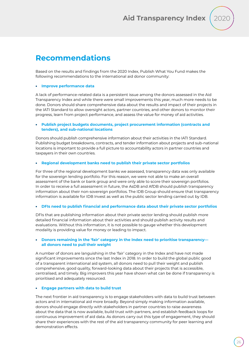![](_page_25_Picture_1.jpeg)

# <span id="page-25-0"></span>**Recommendations**

Based on the results and findings from the 2020 Index, Publish What You Fund makes the following recommendations to the international aid donor community:

#### • **Improve performance data**

A lack of performance-related data is a persistent issue among the donors assessed in the Aid Transparency Index and while there were small improvements this year, much more needs to be done. Donors should share comprehensive data about the results and impact of their projects in the IATI Standard to allow oversight actors, partner countries, and other donors to monitor their progress, learn from project performance, and assess the value for money of aid activities.

#### • **Publish project budgets documents, project procurement information (contracts and tenders), and sub-national locations**

Donors should publish comprehensive information about their activities in the IATI Standard. Publishing budget breakdowns, contracts, and tender information about projects and sub-national locations is important to provide a full picture to accountability actors in partner countries and taxpayers in their own countries.

#### • **Regional development banks need to publish their private sector portfolios**

For three of the regional development banks we assessed, transparency data was only available for the sovereign lending portfolio. For this reason, we were not able to make an overall assessment of the bank or bank group and were only able to score their sovereign portfolios. In order to receive a full assessment in future, the AsDB and AfDB should publish transparency information about their non-sovereign portfolios. The IDB Group should ensure that transparency information is available for IDB Invest as well as the public sector lending carried out by IDB.

#### • **DFIs need to publish financial and performance data about their private sector portfolios**

DFIs that are publishing information about their private sector lending should publish more detailed financial information about their activities and should publish activity results and evaluations. Without this information, it is not possible to gauge whether this development modality is providing value for money or leading to impact.

#### • **Donors remaining in the 'fair' category in the Index need to prioritise transparency all donors need to pull their weight**

A number of donors are languishing in the 'fair' category in the Index and have not made significant improvements since the last Index in 2018. In order to build the global public good of a transparent international aid system, all donors need to pull their weight and publish comprehensive, good quality, forward-looking data about their projects that is accessible, centralised, and timely. Big improvers this year have shown what can be done if transparency is prioritised and adequately resourced.

#### • **Engage partners with data to build trust**

The next frontier in aid transparency is to engage stakeholders with data to build trust between actors and in international aid more broadly. Beyond simply making information available, donors should engage directly with stakeholders in partner countries to raise awareness about the data that is now available, build trust with partners, and establish feedback loops for continuous improvement of aid data. As donors carry out this type of engagement, they should share their experiences with the rest of the aid transparency community for peer learning and demonstration effects.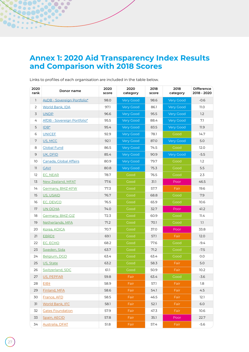# <span id="page-26-0"></span>**Annex 1: 2020 Aid Transparency Index Results and Comparison with 2018 Scores**

| 2020<br>rank | Donor name                  | 2020<br>score | 2020<br>category | 2018<br>score | 2018<br>category | <b>Difference</b><br>2018 - 2020 |
|--------------|-----------------------------|---------------|------------------|---------------|------------------|----------------------------------|
| 1            | AsDB - Sovereign Portfolio* | 98.0          | Very Good        | 98.6          | Very Good        | $-0.6$                           |
| 2            | World Bank, IDA             | 97.1          | <b>Very Good</b> | 86.1          | Very Good        | 11.0                             |
| 3            | <b>UNDP</b>                 | 96.6          | <b>Very Good</b> | 95.5          | <b>Very Good</b> | 1.2                              |
| 4            | AfDB - Sovereign Portfolio* | 95.5          | <b>Very Good</b> | 88.4          | Very Good        | 7.1                              |
| 5            | $IDB^*$                     | 95.4          | Very Good        | 83.5          | Very Good        | 11.9                             |
| 6            | <b>UNICEF</b>               | 92.9          | <b>Very Good</b> | 78.1          | Good             | 14.7                             |
| 7            | US, MCC                     | 92.1          | Very Good        | 87.0          | Very Good        | 5.0                              |
| 8            | <b>Global Fund</b>          | 86.5          | <b>Very Good</b> | 74.5          | Good             | 12.0                             |
| 9            | UK, DFID                    | 85.4          | <b>Very Good</b> | 90.9          | Very Good        | $-5.5$                           |
| 10           | Canada, Global Affairs      | 80.9          | <b>Very Good</b> | 79.7          | Good             | 1.2                              |
| 11           | <b>GAVI</b>                 | 80.8          | Very Good        | 75.3          | Good             | 5.5                              |
| 12           | EC, NEAR                    | 78.7          | Good             | 76.5          | Good             | 2.3                              |
| 13           | New Zealand, MFAT           | 77.6          | Good             | 31.1          | Poor             | 46.5                             |
| 14           | Germany, BMZ-KFW            | 77.3          | Good             | 57.7          | Fair             | 19.6                             |
| 15           | US, USAID                   | 76.7          | Good             | 68.8          | Good             | 7.9                              |
| 16           | EC, DEVCO                   | 76.5          | Good             | 65.9          | Good             | 10.6                             |
| 17           | UN OCHA                     | 74.0          | Good             | 32.7          | Poor             | 41.2                             |
| 18           | <b>Germany, BMZ-GIZ</b>     | 72.3          | Good             | 60.9          | Good             | 11.4                             |
| 19           | Netherlands, MFA            | 71.2          | Good             | 70.1          | Good             | 1.1                              |
| 20           | Korea, KOICA                | 70.7          | Good             | 37.0          | Poor             | 33.8                             |
| 21           | EBRD <sup>+</sup>           | 69.1          | Good             | 57.1          | Fair             | 12.0                             |
| 22           | EC, ECHO                    | 68.2          | Good             | 77.6          | Good             | $-9.4$                           |
| 23           | Sweden, Sida                | 63.7          | Good             | 71.2          | Good             | $-7.5$                           |
| 24           | Belgium, DGD                | 63.4          | Good             | 63.4          | Good             | 0.0                              |
| 25           | US, State                   | 63.2          | Good             | 58.3          | Fair             | 5.0                              |
| 26           | Switzerland, SDC            | 61.1          | Good             | 50.9          | Fair             | 10.2                             |
| 27           | US, PEPFAR                  | 59.8          | Fair             | 63.4          | Good             | $-3.6$                           |
| 28           | EIB+                        | 58.9          | Fair             | 57.1          | Fair             | 1.8                              |
| 29           | Finland, MFA                | 58.6          | Fair             | 54.1          | Fair             | 4.5                              |
| 30           | France, AFD                 | 58.5          | Fair             | 46.5          | Fair             | 12.1                             |
| 31           | <b>World Bank, IFC</b>      | 58.1          | Fair             | 52.1          | Fair             | 6.0                              |
| 32           | <b>Gates Foundation</b>     | 57.9          | Fair             | 47.3          | Fair             | 10.6                             |
| 33           | Spain, AECID                | 57.8          | Fair             | 35.1          | Poor             | 22.7                             |
| 34           | Australia, DFAT             | 51.8          | Fair             | 57.4          | Fair             | $-5.6$                           |

Links to profiles of each organisation are included in the table below.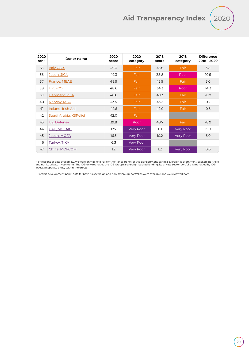![](_page_27_Picture_1.jpeg)

| 2020<br>rank | Donor name             | 2020<br>score | 2020<br>category | 2018<br>score | 2018<br>category | <b>Difference</b><br>2018 - 2020 |
|--------------|------------------------|---------------|------------------|---------------|------------------|----------------------------------|
| 35           | Italy, AICS            | 49.3          | Fair             | 45.6          | Fair             | 3.8                              |
| 36           | Japan, JICA            | 49.3          | Fair             | 38.8          | Poor             | 10.5                             |
| 37           | France, MEAE           | 48.9          | Fair             | 45.9          | Fair             | 3.0                              |
| 38           | UK, FCO                | 48.6          | Fair             | 34.3          | Poor             | 14.3                             |
| 39           | Denmark, MFA           | 48.6          | Fair             | 49.3          | Fair             | $-0.7$                           |
| 40           | Norway, MFA            | 43.5          | Fair             | 43.3          | Fair             | 0.2                              |
| 41           | Ireland, Irish Aid     | 42.6          | Fair             | 42.0          | Fair             | 0.6                              |
| 42           | Saudi Arabia, KSRelief | 42.0          | Fair             |               |                  |                                  |
| 43           | US, Defense            | 39.8          | Poor             | 48.7          | Fair             | $-8.9$                           |
| 44           | <b>UAE, MOFAIC</b>     | 17.7          | Very Poor        | 1.9           | Very Poor        | 15.9                             |
| 45           | Japan, MOFA            | 16.3          | Very Poor        | 10.2          | Very Poor        | 6.0                              |
| 46           | <b>Turkey, TIKA</b>    | 6.3           | Very Poor        |               |                  |                                  |
| 47           | China, MOFCOM          | 1.2           | <b>Very Poor</b> | 1.2           | <b>Very Poor</b> | 0.0                              |

\*For reasons of data availability, we were only able to review the transparency of this development bank's sovereign (government-backed) portfolio<br>and not its private investments. The IDB only manages the IDB Group's sover

† For this development bank, data for both its sovereign and non-sovereign portfolios were available and we reviewed both.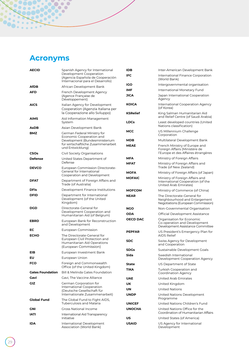# **Acronyms**

<span id="page-28-0"></span>

| <b>AECID</b>                                                   | Spanish Agency for International                                                                 | IDB             | Inter-American Development Bank                                                                       |  |  |
|----------------------------------------------------------------|--------------------------------------------------------------------------------------------------|-----------------|-------------------------------------------------------------------------------------------------------|--|--|
|                                                                | Development Cooperation<br>(Agencia Española de Cooperación<br>Internacional para el Desarrollo) | <b>IFC</b>      | International Finance Corporation<br>(World Bank)                                                     |  |  |
| AfDB                                                           | African Development Bank                                                                         | <b>IGO</b>      | Intergovernmental organisation                                                                        |  |  |
| AFD                                                            | French Development Agency                                                                        | <b>IMF</b>      | International Monetary Fund                                                                           |  |  |
|                                                                | (Agence Française de<br>Développement)                                                           | <b>JICA</b>     | Japan International Cooperation<br>Agency                                                             |  |  |
| AICS                                                           | Italian Agency for Development<br>Cooperation (Agenzia Italiana per                              | <b>KOICA</b>    | International Cooperation Agency<br>(of Korea)                                                        |  |  |
| AIMS                                                           | la Cooperazione allo Sviluppo)<br>Aid Information Management                                     | <b>KSRelief</b> | King Salman Humanitarian Aid<br>and Relief Centre (of Saudi Arabia)                                   |  |  |
|                                                                | System                                                                                           | <b>LDCs</b>     | Least developed countries (United<br>Nations classification)                                          |  |  |
| AsDB                                                           | Asian Development Bank                                                                           | <b>MCC</b>      | US Millennium Challenge                                                                               |  |  |
| <b>BMZ</b>                                                     | German Federal Ministry for<br>Economic Cooperation and                                          | <b>MDB</b>      | Corporation<br>Multilateral Development Bank                                                          |  |  |
|                                                                | Development (Bundesministerium<br>für wirtschaftliche Zusammenarbeit                             | <b>MEAE</b>     |                                                                                                       |  |  |
| und Entwicklung)<br>Civil Society Organisations<br><b>CSOs</b> |                                                                                                  |                 | French Ministry of Europe and<br>Foreign Affairs (Ministère de<br>l'Europe et des Affaires étrangères |  |  |
| <b>Defense</b>                                                 | United States Department of                                                                      | <b>MFA</b>      | Ministry of Foreign Affairs                                                                           |  |  |
|                                                                | Defense                                                                                          | <b>MFAT</b>     | Ministry of Foreign Affairs and                                                                       |  |  |
| <b>DEVCO</b>                                                   | <b>European Commission Directorate-</b><br>General for International                             | <b>MOFA</b>     | Trade (of New Zealand)                                                                                |  |  |
|                                                                | Cooperation and Development                                                                      |                 | Ministry of Foreign Affairs (of Japan)                                                                |  |  |
| <b>DFAT</b>                                                    | Department of Foreign Affairs and<br>Trade (of Australia)                                        | <b>MOFAIC</b>   | Ministry of Foreign Affairs and<br>International Cooperation (of the<br>United Arab Emirates)         |  |  |
| <b>DFIs</b>                                                    | Development Finance Institutions                                                                 | <b>MOFCOM</b>   | Ministry of Commerce (of China)                                                                       |  |  |
| <b>DFID</b>                                                    | Department for International<br>Development (of the United<br>Kingdom)                           | <b>NEAR</b>     | The Directorate-General for<br>Neighbourhood and Enlargement<br>Negotiations (European Commission)    |  |  |
| <b>DGD</b>                                                     | Directorate-General for                                                                          | <b>NGO</b>      | Non-Governmental Organisation                                                                         |  |  |
|                                                                | Development Cooperation and<br>Humanitarian Aid (of Belgium)                                     | <b>ODA</b>      | Official Development Assistance                                                                       |  |  |
| <b>EBRD</b>                                                    | European Bank for Reconstruction<br>and Development                                              | <b>OECD DAC</b> | Organisation for Economic<br>Co-operation and Development<br>Development Assistance Committee         |  |  |
| EС                                                             | European Commission                                                                              | <b>PEPFAR</b>   | US President's Emergency Plan for                                                                     |  |  |
| <b>ECHO</b>                                                    | The Directorate-General for<br>European Civil Protection and                                     | <b>SDC</b>      | <b>AIDS Relief</b><br>Swiss Agency for Development                                                    |  |  |
|                                                                | Humanitarian Aid Operations<br>(European Commission)                                             |                 | and Cooperation                                                                                       |  |  |
| EIB                                                            | European Investment Bank                                                                         | <b>SDGs</b>     | Sustainable Development Goals                                                                         |  |  |
| EU                                                             | European Union                                                                                   | Sida            | Swedish International<br>Development Cooperation Agency                                               |  |  |
| <b>FCO</b>                                                     | Foreign and Commonwealth<br>Office (of the United Kingdom)                                       | <b>State</b>    | US Department of State                                                                                |  |  |
| <b>Gates Foundation</b>                                        | Bill & Melinda Gates Foundation                                                                  | <b>TIKA</b>     | Turkish Cooperation and<br>Coordination Agency                                                        |  |  |
| Gavi                                                           | Gavi, The Vaccine Alliance                                                                       | <b>UAE</b>      | United Arab Emirates                                                                                  |  |  |
| GIZ                                                            | German Corporation for                                                                           | UK              | United Kingdom                                                                                        |  |  |
|                                                                | International Cooperation<br>(Deutsche Gesellschaft für                                          | UN              | <b>United Nations</b>                                                                                 |  |  |
|                                                                | Internationale Zusammenarbeit)                                                                   | <b>UNDP</b>     | United Nations Development<br>Programme                                                               |  |  |
| <b>Global Fund</b>                                             | The Global Fund to Fight AIDS,<br><b>Tuberculosis and Malaria</b>                                | <b>UNICEF</b>   | United Nations Children's Fund                                                                        |  |  |
| GNI                                                            | Gross National Income                                                                            | <b>UNOCHA</b>   | United Nations Office for the<br>Coordination of Humanitarian Affairs                                 |  |  |
| IATI                                                           | International Aid Transparency<br>Initiative                                                     | US              | United States (of America)                                                                            |  |  |
| IDA                                                            | International Development<br>Association (World Bank)                                            | <b>USAID</b>    | US Agency for International<br>Development                                                            |  |  |